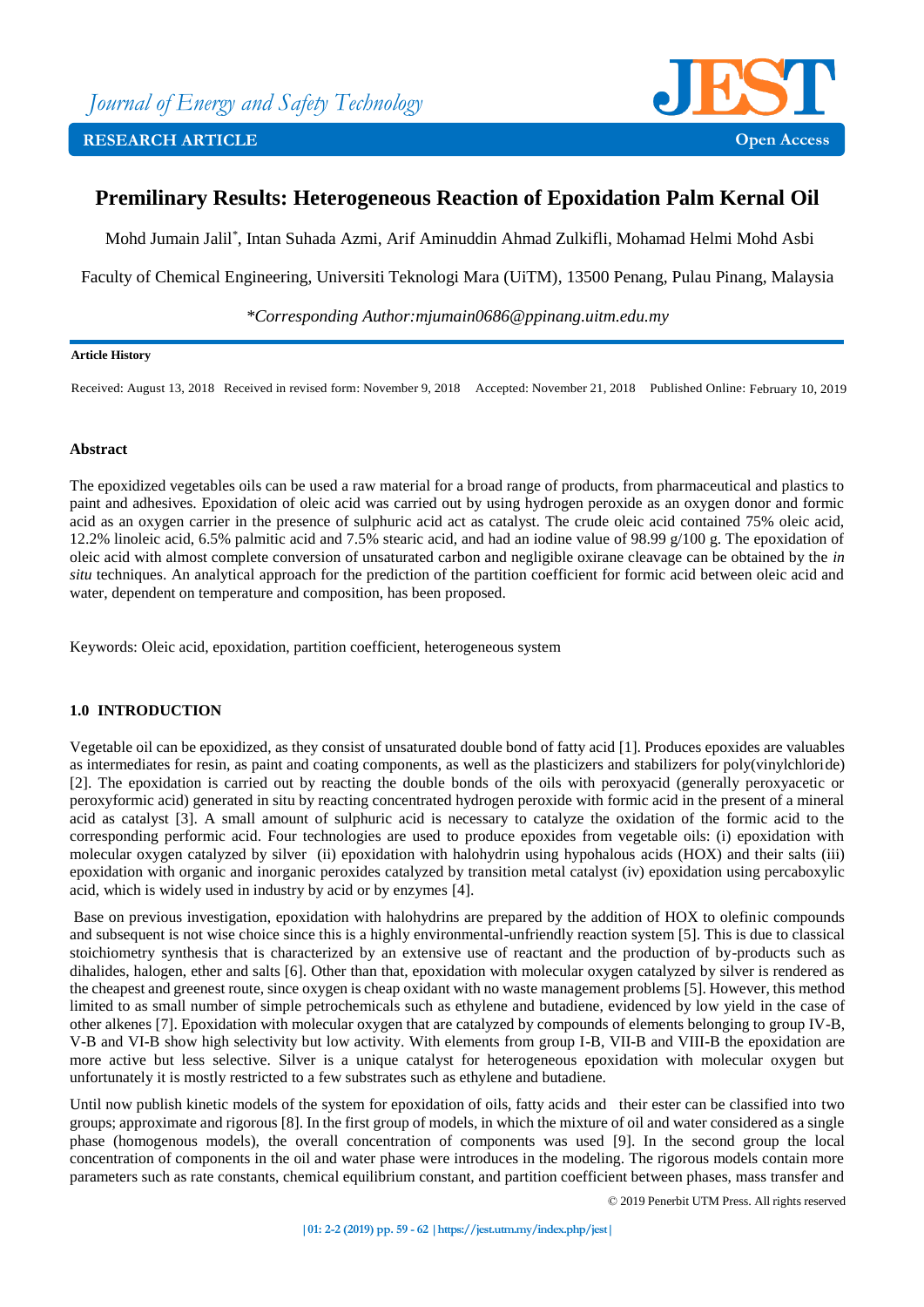

# **Premilinary Results: Heterogeneous Reaction of Epoxidation Palm Kernal Oil**

Mohd Jumain Jalil\* , Intan Suhada Azmi, Arif Aminuddin Ahmad Zulkifli, Mohamad Helmi Mohd Asbi

Faculty of Chemical Engineering, Universiti Teknologi Mara (UiTM), 13500 Penang, Pulau Pinang, Malaysia

*\*Corresponding Author:mjumain0686@ppinang.uitm.edu.my*

#### **Article History**

Received: August 13, 2018 Received in revised form: November 9, 2018 Accepted: November 21, 2018 Published Online: February 10, 2019

## **Abstract**

The epoxidized vegetables oils can be used a raw material for a broad range of products, from pharmaceutical and plastics to paint and adhesives. Epoxidation of oleic acid was carried out by using hydrogen peroxide as an oxygen donor and formic acid as an oxygen carrier in the presence of sulphuric acid act as catalyst. The crude oleic acid contained 75% oleic acid, 12.2% linoleic acid, 6.5% palmitic acid and 7.5% stearic acid, and had an iodine value of 98.99 g/100 g. The epoxidation of oleic acid with almost complete conversion of unsaturated carbon and negligible oxirane cleavage can be obtained by the *in situ* techniques. An analytical approach for the prediction of the partition coefficient for formic acid between oleic acid and water, dependent on temperature and composition, has been proposed.

Keywords: Oleic acid, epoxidation, partition coefficient, heterogeneous system

## **1.0 INTRODUCTION**

Vegetable oil can be epoxidized, as they consist of unsaturated double bond of fatty acid [1]. Produces epoxides are valuables as intermediates for resin, as paint and coating components, as well as the plasticizers and stabilizers for poly(vinylchloride) [2]. The epoxidation is carried out by reacting the double bonds of the oils with peroxyacid (generally peroxyacetic or peroxyformic acid) generated in situ by reacting concentrated hydrogen peroxide with formic acid in the present of a mineral acid as catalyst [3]. A small amount of sulphuric acid is necessary to catalyze the oxidation of the formic acid to the corresponding performic acid. Four technologies are used to produce epoxides from vegetable oils: (i) epoxidation with molecular oxygen catalyzed by silver (ii) epoxidation with halohydrin using hypohalous acids (HOX) and their salts (iii) epoxidation with organic and inorganic peroxides catalyzed by transition metal catalyst (iv) epoxidation using percaboxylic acid, which is widely used in industry by acid or by enzymes [4].

Base on previous investigation, epoxidation with halohydrins are prepared by the addition of HOX to olefinic compounds and subsequent is not wise choice since this is a highly environmental-unfriendly reaction system [5]. This is due to classical stoichiometry synthesis that is characterized by an extensive use of reactant and the production of by-products such as dihalides, halogen, ether and salts [6]. Other than that, epoxidation with molecular oxygen catalyzed by silver is rendered as the cheapest and greenest route, since oxygen is cheap oxidant with no waste management problems [5]. However, this method limited to as small number of simple petrochemicals such as ethylene and butadiene, evidenced by low yield in the case of other alkenes [7]. Epoxidation with molecular oxygen that are catalyzed by compounds of elements belonging to group IV-B, V-B and VI-B show high selectivity but low activity. With elements from group I-B, VII-B and VIII-B the epoxidation are more active but less selective. Silver is a unique catalyst for heterogeneous epoxidation with molecular oxygen but unfortunately it is mostly restricted to a few substrates such as ethylene and butadiene.

Until now publish kinetic models of the system for epoxidation of oils, fatty acids and their ester can be classified into two groups; approximate and rigorous [8]. In the first group of models, in which the mixture of oil and water considered as a single phase (homogenous models), the overall concentration of components was used [9]. In the second group the local concentration of components in the oil and water phase were introduces in the modeling. The rigorous models contain more parameters such as rate constants, chemical equilibrium constant, and partition coefficient between phases, mass transfer and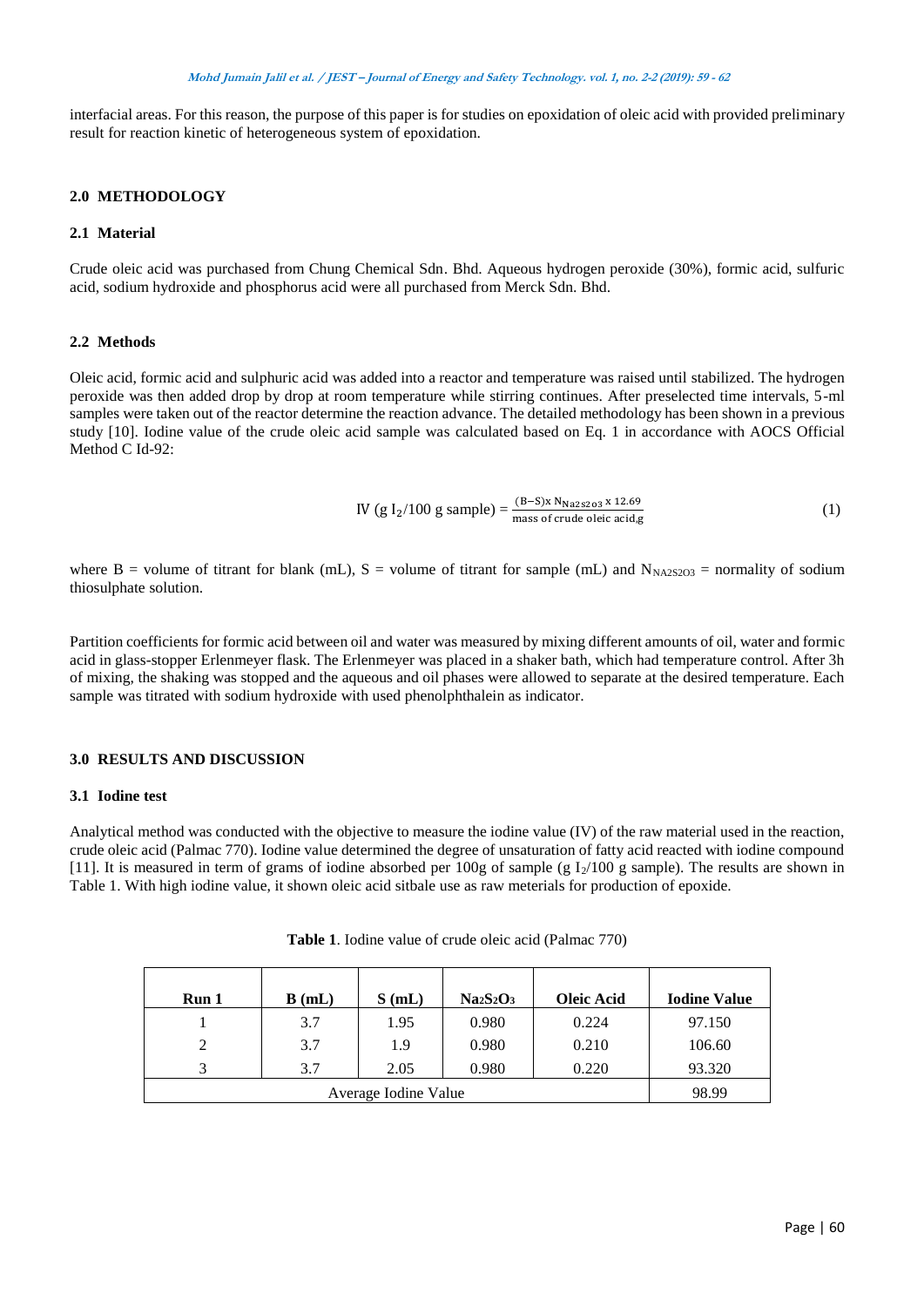interfacial areas. For this reason, the purpose of this paper is for studies on epoxidation of oleic acid with provided preliminary result for reaction kinetic of heterogeneous system of epoxidation.

## **2.0 METHODOLOGY**

## **2.1 Material**

Crude oleic acid was purchased from Chung Chemical Sdn. Bhd. Aqueous hydrogen peroxide (30%), formic acid, sulfuric acid, sodium hydroxide and phosphorus acid were all purchased from Merck Sdn. Bhd.

## **2.2 Methods**

Oleic acid, formic acid and sulphuric acid was added into a reactor and temperature was raised until stabilized. The hydrogen peroxide was then added drop by drop at room temperature while stirring continues. After preselected time intervals, 5-ml samples were taken out of the reactor determine the reaction advance. The detailed methodology has been shown in a previous study [10]. Iodine value of the crude oleic acid sample was calculated based on Eq. 1 in accordance with AOCS Official Method C Id-92:

IV (g I<sub>2</sub>/100 g sample) = 
$$
\frac{(B-S)x N_{\text{Na2s2o3}} \times 12.69}{\text{mass of crude eleic acid,g}}
$$
 (1)

where B = volume of titrant for blank (mL), S = volume of titrant for sample (mL) and  $N_{N_A/25203}$  = normality of sodium thiosulphate solution.

Partition coefficients for formic acid between oil and water was measured by mixing different amounts of oil, water and formic acid in glass-stopper Erlenmeyer flask. The Erlenmeyer was placed in a shaker bath, which had temperature control. After 3h of mixing, the shaking was stopped and the aqueous and oil phases were allowed to separate at the desired temperature. Each sample was titrated with sodium hydroxide with used phenolphthalein as indicator.

### **3.0 RESULTS AND DISCUSSION**

#### **3.1 Iodine test**

Analytical method was conducted with the objective to measure the iodine value (IV) of the raw material used in the reaction, crude oleic acid (Palmac 770). Iodine value determined the degree of unsaturation of fatty acid reacted with iodine compound [11]. It is measured in term of grams of iodine absorbed per 100g of sample (g  $I_2/100$  g sample). The results are shown in Table 1. With high iodine value, it shown oleic acid sitbale use as raw meterials for production of epoxide.

| Run 1 | B(mL) | S(mL) | $Na2S2O3$ | <b>Oleic Acid</b> | <b>Iodine Value</b> |
|-------|-------|-------|-----------|-------------------|---------------------|
|       | 3.7   | 1.95  | 0.980     | 0.224             | 97.150              |
| 2     | 3.7   | 1.9   | 0.980     | 0.210             | 106.60              |
| 2     | 3.7   | 2.05  | 0.980     | 0.220             | 93.320              |
|       | 98.99 |       |           |                   |                     |

| Table 1. Iodine value of crude oleic acid (Palmac 770) |  |  |  |  |  |
|--------------------------------------------------------|--|--|--|--|--|
|--------------------------------------------------------|--|--|--|--|--|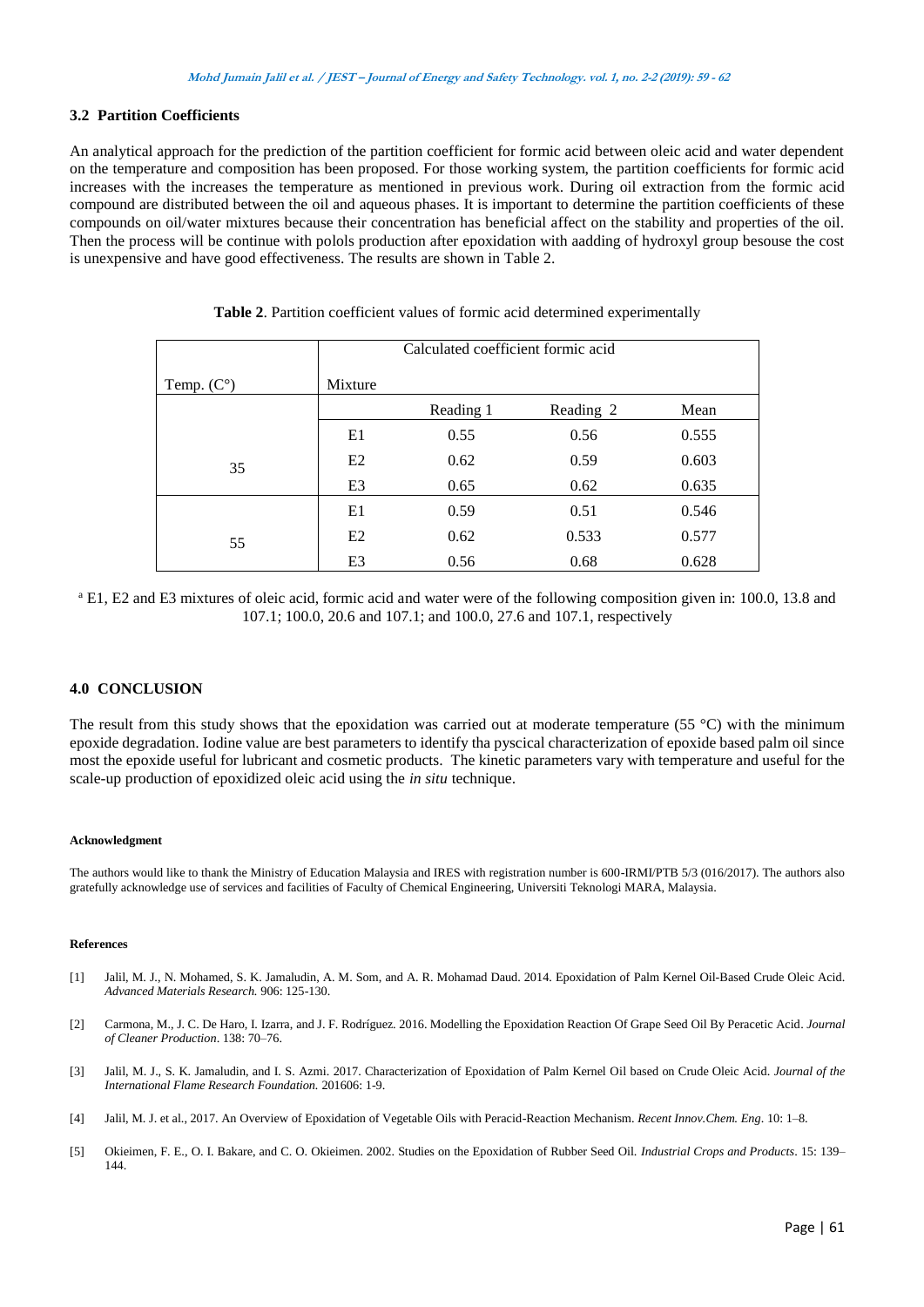## **3.2 Partition Coefficients**

An analytical approach for the prediction of the partition coefficient for formic acid between oleic acid and water dependent on the temperature and composition has been proposed. For those working system, the partition coefficients for formic acid increases with the increases the temperature as mentioned in previous work. During oil extraction from the formic acid compound are distributed between the oil and aqueous phases. It is important to determine the partition coefficients of these compounds on oil/water mixtures because their concentration has beneficial affect on the stability and properties of the oil. Then the process will be continue with polols production after epoxidation with aadding of hydroxyl group besouse the cost is unexpensive and have good effectiveness. The results are shown in Table 2.

|                     | Calculated coefficient formic acid |           |           |       |  |  |
|---------------------|------------------------------------|-----------|-----------|-------|--|--|
| Temp. $(C^{\circ})$ | Mixture                            |           |           |       |  |  |
|                     |                                    | Reading 1 | Reading 2 | Mean  |  |  |
|                     | E1                                 | 0.55      | 0.56      | 0.555 |  |  |
| 35                  | E2                                 | 0.62      | 0.59      | 0.603 |  |  |
|                     | E <sub>3</sub>                     | 0.65      | 0.62      | 0.635 |  |  |
|                     | E1                                 | 0.59      | 0.51      | 0.546 |  |  |
| 55                  | E2                                 | 0.62      | 0.533     | 0.577 |  |  |
|                     | E3                                 | 0.56      | 0.68      | 0.628 |  |  |

**Table 2**. Partition coefficient values of formic acid determined experimentally

<sup>a</sup> E1, E2 and E3 mixtures of oleic acid, formic acid and water were of the following composition given in: 100.0, 13.8 and 107.1; 100.0, 20.6 and 107.1; and 100.0, 27.6 and 107.1, respectively

#### **4.0 CONCLUSION**

The result from this study shows that the epoxidation was carried out at moderate temperature (55 °C) with the minimum epoxide degradation. Iodine value are best parameters to identify tha pyscical characterization of epoxide based palm oil since most the epoxide useful for lubricant and cosmetic products. The kinetic parameters vary with temperature and useful for the scale-up production of epoxidized oleic acid using the *in situ* technique.

#### **Acknowledgment**

The authors would like to thank the Ministry of Education Malaysia and IRES with registration number is 600-IRMI/PTB 5/3 (016/2017). The authors also gratefully acknowledge use of services and facilities of Faculty of Chemical Engineering, Universiti Teknologi MARA, Malaysia.

#### **References**

- [1] Jalil, M. J., N. Mohamed, S. K. Jamaludin, A. M. Som, and A. R. Mohamad Daud. 2014. Epoxidation of Palm Kernel Oil-Based Crude Oleic Acid. *Advanced Materials Research.* 906: 125-130.
- [2] Carmona, M., J. C. De Haro, I. Izarra, and J. F. Rodríguez. 2016. Modelling the Epoxidation Reaction Of Grape Seed Oil By Peracetic Acid. *Journal of Cleaner Production*. 138: 70–76.
- [3] Jalil, M. J., S. K. Jamaludin, and I. S. Azmi. 2017. Characterization of Epoxidation of Palm Kernel Oil based on Crude Oleic Acid. *Journal of the International Flame Research Foundation.* 201606: 1-9.
- [4] Jalil, M. J. et al., 2017. An Overview of Epoxidation of Vegetable Oils with Peracid-Reaction Mechanism. *Recent Innov.Chem. Eng*. 10: 1–8.
- [5] Okieimen, F. E., O. I. Bakare, and C. O. Okieimen. 2002. Studies on the Epoxidation of Rubber Seed Oil. *Industrial Crops and Products*. 15: 139– 144.